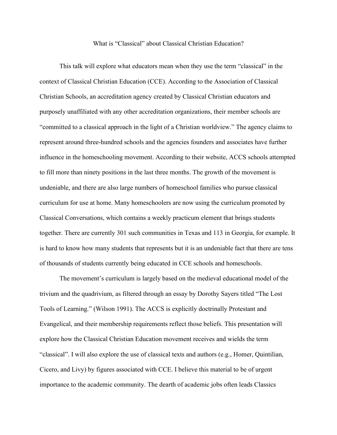## What is "Classical" about Classical Christian Education?

This talk will explore what educators mean when they use the term "classical" in the context of Classical Christian Education (CCE). According to the Association of Classical Christian Schools, an accreditation agency created by Classical Christian educators and purposely unaffiliated with any other accreditation organizations, their member schools are "committed to a classical approach in the light of a Christian worldview." The agency claims to represent around three-hundred schools and the agencies founders and associates have further influence in the homeschooling movement. According to their website, ACCS schools attempted to fill more than ninety positions in the last three months. The growth of the movement is undeniable, and there are also large numbers of homeschool families who pursue classical curriculum for use at home. Many homeschoolers are now using the curriculum promoted by Classical Conversations, which contains a weekly practicum element that brings students together. There are currently 301 such communities in Texas and 113 in Georgia, for example. It is hard to know how many students that represents but it is an undeniable fact that there are tens of thousands of students currently being educated in CCE schools and homeschools.

The movement's curriculum is largely based on the medieval educational model of the trivium and the quadrivium, as filtered through an essay by Dorothy Sayers titled "The Lost Tools of Learning." (Wilson 1991). The ACCS is explicitly doctrinally Protestant and Evangelical, and their membership requirements reflect those beliefs. This presentation will explore how the Classical Christian Education movement receives and wields the term "classical". I will also explore the use of classical texts and authors (e.g., Homer, Quintilian, Cicero, and Livy) by figures associated with CCE. I believe this material to be of urgent importance to the academic community. The dearth of academic jobs often leads Classics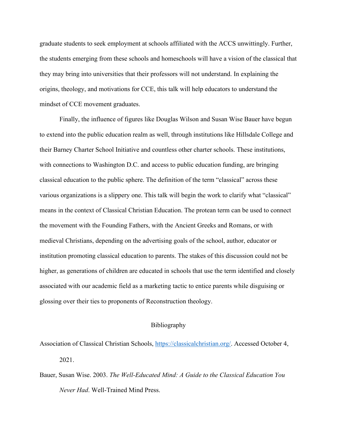graduate students to seek employment at schools affiliated with the ACCS unwittingly. Further, the students emerging from these schools and homeschools will have a vision of the classical that they may bring into universities that their professors will not understand. In explaining the origins, theology, and motivations for CCE, this talk will help educators to understand the mindset of CCE movement graduates.

Finally, the influence of figures like Douglas Wilson and Susan Wise Bauer have begun to extend into the public education realm as well, through institutions like Hillsdale College and their Barney Charter School Initiative and countless other charter schools. These institutions, with connections to Washington D.C. and access to public education funding, are bringing classical education to the public sphere. The definition of the term "classical" across these various organizations is a slippery one. This talk will begin the work to clarify what "classical" means in the context of Classical Christian Education. The protean term can be used to connect the movement with the Founding Fathers, with the Ancient Greeks and Romans, or with medieval Christians, depending on the advertising goals of the school, author, educator or institution promoting classical education to parents. The stakes of this discussion could not be higher, as generations of children are educated in schools that use the term identified and closely associated with our academic field as a marketing tactic to entice parents while disguising or glossing over their ties to proponents of Reconstruction theology.

## Bibliography

Association of Classical Christian Schools, [https://classicalchristian.org/.](https://classicalchristian.org/) Accessed October 4, 2021.

Bauer, Susan Wise. 2003. *The Well-Educated Mind: A Guide to the Classical Education You Never Had*. Well-Trained Mind Press.